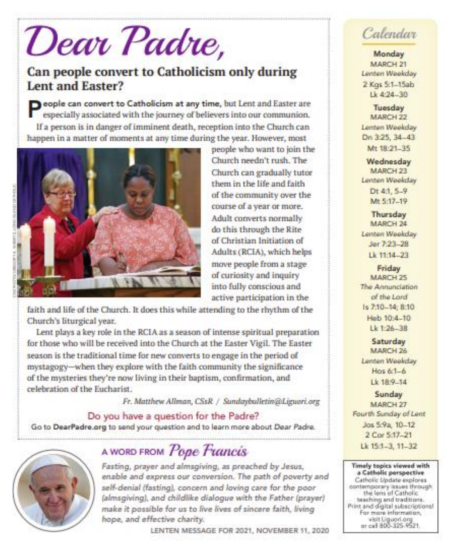# Dear Padre,

### Can people convert to Catholicism only during **Lent and Easter?**

people can convert to Catholicism at any time, but Lent and Easter are especially associated with the journey of believers into our communion. If a person is in danger of imminent death, reception into the Church can happen in a matter of moments at any time during the year. However, most



people who want to join the Church needn't rush. The Church can gradually tutor them in the life and faith of the community over the course of a year or more. Adult converts normally do this through the Rite of Christian Initiation of Adults (RCIA), which helps move people from a stage of curiosity and inquiry into fully conscious and active participation in the

faith and life of the Church. It does this while attending to the rhythm of the Church's liturgical year.

Lent plays a key role in the RCIA as a season of intense spiritual preparation for those who will be received into the Church at the Easter Vigil. The Easter season is the traditional time for new converts to engage in the period of mystagogy-when they explore with the faith community the significance of the mysteries they're now living in their baptism, confirmation, and celebration of the Eucharist

Fr. Matthew Allman, CSsR / Sundaybulletin@Liguori.org

#### Do you have a question for the Padre?

Go to DearPadre.org to send your question and to learn more about Dear Padre.



## A WORD FROM Pope Francis

Fasting, prayer and almsgiving, as preached by Jesus, enable and express our conversion. The path of poverty and self-denial (fasting), concern and loving care for the poor (almsgiving), and childlike dialogue with the Father (prayer) make it possible for us to live lives of sincere faith, living hope, and effective charity.

LENTEN MESSAGE FOR 2021, NOVEMBER 11, 2020

## Calendar

Monday MARCH 21 Lenten Weekday 2 Kgs 5:1-15ab  $1k$  4:24 - 30

Tuesday MARCH 22 Lenten Weekday Dn 3:25, 34-43 Mt 18:21-35

**Wednesday** MARCH 23 Lenten Weekday Dt 4:1, 5-9 Mr. 5:17-19

Thursday MARCH 24 Lenten Weekday Jer 7:23-28 Lk 11:14-23

Friday MARCH 25 The Annunciation of the Lord Is 7:10-14: 8:10 Heb 10:4-10  $Lk$  1:26-38

Saturday MARCH 26 Lenten Weekday Hos  $6:1-6$ Lk 18.9-14

Sunday MARCH 27 Fourth Sunday of Lent Jos 5:9a, 10-12 2 Cor 5:17-21 Lk 15:1-3, 11-32

Timely topics viewed with a Catholic perspective Catholic Update explores contemporary issues through the lens of Catholic teaching and traditions. Print and digital subscriptions! For mare information, visit Uguori.org<br>or call 800-325-9521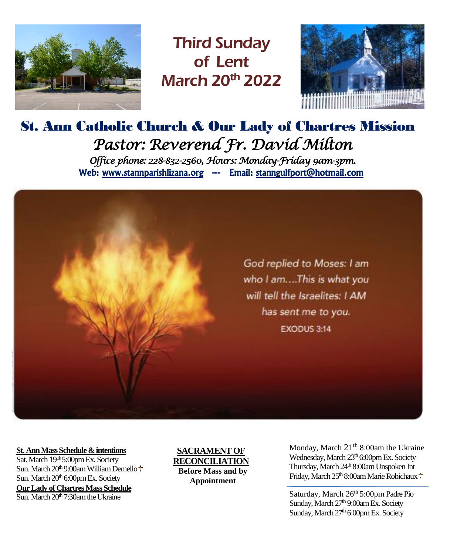

Third Sunday of Lent March 20<sup>th</sup> 2022



## St. Ann Catholic Church & Our Lady of Chartres Mission *Pastor: Reverend Fr. David Milton Office phone: 228-832-2560, Hours: Monday-Friday 9am-3pm.*  Web: www.stannparishlizana.org --- Email: stanngulfport@hotmail.com



#### **St. Ann Mass Schedule & intentions**

Sat. March 19<sup>th</sup> 5:00pm Ex. Society Sun. March 20<sup>th 9:00am William Demello <sup>+</sup></sup> Sun. March  $20<sup>th</sup> 6:00$ pm Ex. Society **Our Lady of Chartres Mass Schedule**  $\overline{\text{Sun}}$ . March  $20^{\text{th}}$  7:30am the Ukraine

**SACRAMENT OF RECONCILIATION Before Mass and by Appointment**

Wednesday, March 23th 6:00pm Ex. Society March 9th 8:00am Glen Parker Thursday, March 24th 8:00am Unspoken Int  $\frac{1.05 \text{ m}}{1.05 \text{ m}}$  8.00am Glispone Friday, March 25<sup>th</sup> 8:00am Marie Robichaux Monday, March  $21<sup>th</sup> 8:00$ am the Ukraine

Saturday, March 26th 5:00pm Padre Pio Sunday, March 27<sup>th</sup> 9:00am Ex. Society Sunday, March 27th 6:00pm Ex. Society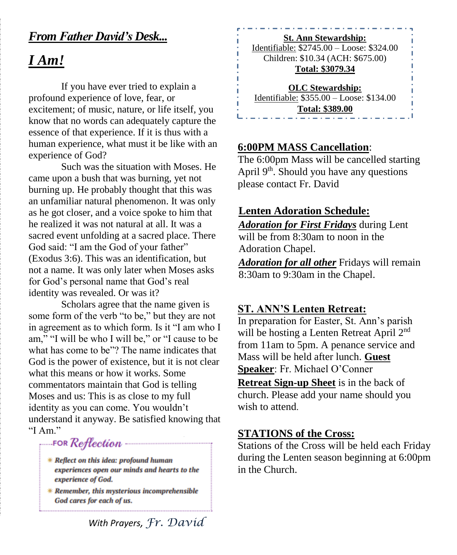### *From Father David's Desk...*

## *I Am!*

If you have ever tried to explain a profound experience of love, fear, or excitement; of music, nature, or life itself, you know that no words can adequately capture the essence of that experience. If it is thus with a human experience, what must it be like with an experience of God?

Such was the situation with Moses. He came upon a bush that was burning, yet not burning up. He probably thought that this was an unfamiliar natural phenomenon. It was only as he got closer, and a voice spoke to him that he realized it was not natural at all. It was a sacred event unfolding at a sacred place. There God said: "I am the God of your father" (Exodus 3:6). This was an identification, but not a name. It was only later when Moses asks for God's personal name that God's real identity was revealed. Or was it?

Scholars agree that the name given is some form of the verb "to be," but they are not in agreement as to which form. Is it "I am who I am," "I will be who I will be," or "I cause to be what has come to be"? The name indicates that God is the power of existence, but it is not clear what this means or how it works. Some commentators maintain that God is telling Moses and us: This is as close to my full identity as you can come. You wouldn't understand it anyway. Be satisfied knowing that "I Am."

FOR Reflection

- \* Reflect on this idea: profound human experiences open our minds and hearts to the experience of God.
- \* Remember, this mysterious incomprehensible God cares for each of us.

**St. Ann Stewardship:** Identifiable: \$2745.00 – Loose: \$324.00 Children: \$10.34 (ACH: \$675.00) **Total: \$3079.34 OLC Stewardship:**

Identifiable: \$355.00 – Loose: \$134.00 **Total: \$389.00**

#### **6:00PM MASS Cancellation**:

The 6:00pm Mass will be cancelled starting April  $9<sup>th</sup>$ . Should you have any questions please contact Fr. David

#### **Lenten Adoration Schedule:**

*Adoration for First Fridays* during Lent will be from 8:30am to noon in the Adoration Chapel.

*Adoration for all other* Fridays will remain 8:30am to 9:30am in the Chapel.

#### **ST. ANN'S Lenten Retreat:**

In preparation for Easter, St. Ann's parish will be hosting a Lenten Retreat April 2<sup>nd</sup> from 11am to 5pm. A penance service and Mass will be held after lunch. **Guest Speaker**: Fr. Michael O'Conner

**Retreat Sign-up Sheet** is in the back of church. Please add your name should you wish to attend.

#### **STATIONS of the Cross:**

Stations of the Cross will be held each Friday during the Lenten season beginning at 6:00pm in the Church.